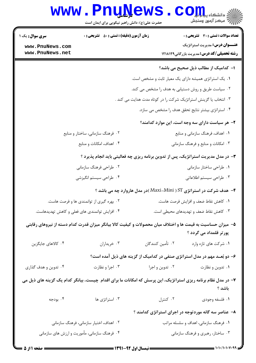|                                               | <b>www.PnuNews</b><br>حضرت علی(ع): دانش راهبر نیکویی برای ایمان است                                           |                                                                  | انشڪاه پيام در استان کال<br>اڳ مرڪز آزمون وسنڊش                                            |
|-----------------------------------------------|---------------------------------------------------------------------------------------------------------------|------------------------------------------------------------------|--------------------------------------------------------------------------------------------|
| <b>سری سوال :</b> یک ۱                        | <b>زمان آزمون (دقیقه) : تستی : 50 ٪ تشریحی : 0</b>                                                            |                                                                  | <b>تعداد سوالات : تستی : 30 ٪ تشریحی : 0</b>                                               |
| www.PnuNews.com<br>www.PnuNews.net            |                                                                                                               |                                                                  | <b>عنـــوان درس:</b> مدیریت استراتژیک<br><b>رشته تحصیلی/کد درس:</b> مدیریت بازرگانی1۲۱۸۱۲۹ |
|                                               |                                                                                                               |                                                                  | ا– کدامیک از مطالب ذیل صحیح می باشد؟                                                       |
|                                               |                                                                                                               | ٠١. يک استراتژى هميشه داراى يک معيار ثابت و مشخص است.            |                                                                                            |
|                                               |                                                                                                               | ۰۲ سیاست طریق و روش دستیابی به هدف را مشخص می کند.               |                                                                                            |
|                                               |                                                                                                               | ۰۳ انتخاب یا گزینش استراتژیک شرکت را در کوتاه مدت هدایت می کند . |                                                                                            |
|                                               |                                                                                                               |                                                                  | ۰۴ استراتژی بیشتر نتایج تحقق هدف را مشخص می سازد.                                          |
|                                               |                                                                                                               |                                                                  | ۲- هر سیاست دارای سه وجه است، این موارد کدامند؟                                            |
|                                               | ۰۲ فرهنگ سازمانی، ساختار و منابع                                                                              |                                                                  | ٠١ اهداف، فرهنگ سازماني و منابع                                                            |
|                                               | ۰۴ اهداف، امکانات و منابع                                                                                     |                                                                  | ۰۳ امکانات و منابع و فرهنگ سازمانی                                                         |
|                                               | ۳- در مدل مدیریت استراتژیک، پس از تدوین برنامه ریزی چه فعالیتی باید انجام پذیرد ؟                             |                                                                  |                                                                                            |
| ۰۲ طراحی فرهنگ سازمانی                        |                                                                                                               |                                                                  | ۰۱ طراحی ساختار سازمانی                                                                    |
| ۰۴ طراحی سیستم انگیزشی                        |                                                                                                               |                                                                  | ۰۳ طراحی سیستم اطلاعاتی                                                                    |
|                                               |                                                                                                               |                                                                  | ۴- هدف شرکت در استراتژی ST ( Maxi-Mini )در مدل هاروارد چه می باشد ؟                        |
| ۰۲ بهره گیری از توانمندی ها و فرصت هاست.      |                                                                                                               | ٠١ كاهش نقاط ضعف و افزايش فرصت هاست.                             |                                                                                            |
| ۰۴ افزایش توانمندی های فعلی و کاهش تهدیدهاست. |                                                                                                               | ۰۳ کاهش نقاط ضعف و تهدیدهای محیطی است.                           |                                                                                            |
|                                               | ۵– میزان حساسیت به قیمت ها و اختلاف میان محصولات و کیفیت کالا بیانگر میزان قدرت کدام دسته از نیروهای رقابتی   |                                                                  | پور تر قلمداد می گردد ؟                                                                    |
| ۰۴ کالاهای جایگزین                            | ۰۳ خریداران                                                                                                   | ٠٢ تأمين كنندگان                                                 | ٠١ شركت هاى تازه وارد                                                                      |
|                                               |                                                                                                               |                                                                  | ۶- دو بُعــد مهم در مدل استراتژی صنفی در کدامیک از گزینه های ذیل آمده است؟                 |
| ۰۴ تدوین و هدف گذاری                          | ۰۳ اجرا و نظارت                                                                                               | ۰۲ تدوین و اجرا                                                  | ۰۱ تدوین و نظارت                                                                           |
|                                               | ۷– در مدل نظام برنامه ریزی استراتژیک، این پرسش که امکانات ما برای اقدام چیست، بیانگر کدام یک گزینه های ذیل می |                                                                  | باشد ؟                                                                                     |
| ۰۴ بودجه                                      | ۰۳ استراتژی ها                                                                                                | ۰۲ کنترل                                                         | ۰۱ فلسفه وجودي                                                                             |
|                                               |                                                                                                               |                                                                  | ۸– عناصر سه گانه موردتوجه در اجرای استراتژی کدامند ؟                                       |
|                                               | ۰۲ اهداف، اختیار سازمانی، فرهنگ سازمانی                                                                       |                                                                  | ۰۱ فرهنگ سازمانی، اهداف و سلسله مراتب                                                      |

۰۳ ساختار، رهبری و فرهنگ سازمانی

۰۴ فرهنگ سازمانی، مأموریت و ارزش های سازمانی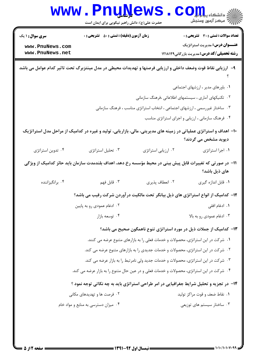|                                                                                                              | <b>LUAN</b><br>حضرت علی(ع): دانش راهبر نیکویی برای ایمان است                              |                     | دانشگاه پ <b>یا با تار</b><br>رِ آزمون وسنڊش                                                                                              |  |  |
|--------------------------------------------------------------------------------------------------------------|-------------------------------------------------------------------------------------------|---------------------|-------------------------------------------------------------------------------------------------------------------------------------------|--|--|
| <b>سری سوال : ۱ یک</b>                                                                                       | <b>زمان آزمون (دقیقه) : تستی : 50 ٪ تشریحی : 0</b>                                        |                     | <b>تعداد سوالات : تستي : 30 ٪ تشريحي : 0</b>                                                                                              |  |  |
| www.PnuNews.com                                                                                              |                                                                                           |                     | <b>عنـــوان درس:</b> مدیریت استراتژیک                                                                                                     |  |  |
| www.PnuNews.net                                                                                              |                                                                                           |                     | <b>رشته تحصیلی/کد درس:</b> مدیریت بازرگانی1۲۱۸۱۲۹                                                                                         |  |  |
| ۹- آرزیابی نقاط قوت وضعف داخلی و ارزیابی فرصتها و تهدیدات محیطی در مدل مینتزبرگ تحت تاثیر کدام عوامل می باشد |                                                                                           |                     |                                                                                                                                           |  |  |
|                                                                                                              |                                                                                           |                     | ٠١ باورهای مدير ، ارزشهای اجتماعی                                                                                                         |  |  |
|                                                                                                              |                                                                                           |                     | ۰۲ تکنیکهای آماری ، سیستمهای اطلاعاتی ،فرهنگ سازمانی                                                                                      |  |  |
|                                                                                                              |                                                                                           |                     | ۰۳ ساختار غیررسمی ، ارزشهای اجتماعی ، انتخاب استراتژی مناسب ، فرهنگ سازمانی                                                               |  |  |
|                                                                                                              |                                                                                           |                     | ۰۴ فرهنگ سازمانی ، ارزیابی و اجرای استراتژی مناسب                                                                                         |  |  |
|                                                                                                              |                                                                                           |                     | ∙۱− اهداف و استراتژی عملیاتی در زمینه های مدیریتی، مالی، بازاریابی، تولید و غیره در کدامیک از مراحل مدل استراتژیک<br>دیوید مشخص می گردند؟ |  |  |
| ۰۴ تدوین استراتژی                                                                                            | ۰۳ تحلیل استراتژی                                                                         | ٠٢ ارزيابي استراتژي | ٠١. اجرا استراتژى                                                                                                                         |  |  |
|                                                                                                              |                                                                                           |                     | 1۱– در صورتی که تغییرات قابل پیش بینی در محیط مؤسسه رخ دهد، اهداف بلندمدت سازمان باید حائز کدامیک از ویژگی<br>های ذیل باشد؟               |  |  |
| ۰۴ برانگیزاننده                                                                                              | ۰۳ قابل فهم                                                                               | ٠٢ انعطاف پذيري     | ٠١. قابل اندازه گيري                                                                                                                      |  |  |
|                                                                                                              |                                                                                           |                     | ۱۲- کدامیک از انواع استراتژی های ذیل بیانگر تحت مالکیت درآوردن شرکت رقیب می باشد؟                                                         |  |  |
|                                                                                                              | ۰۲ ادغام عمودي رو به پايين                                                                |                     | ٠١. ادغام افقى                                                                                                                            |  |  |
|                                                                                                              | ۰۴ توسعه بازار                                                                            |                     | ۰۳ ادغام عمودي رو به بالا                                                                                                                 |  |  |
|                                                                                                              |                                                                                           |                     | ۱۳- کدامیک از جملات ذیل در مورد استراتژی تنوع ناهمگون صحیح می باشد؟                                                                       |  |  |
|                                                                                                              |                                                                                           |                     | ۰۱ شرکت در این استراتژی، محصولات و خدمات فعلی را به بازارهای متنوع عرضه می کنند.                                                          |  |  |
|                                                                                                              | ۰۲ شرکت در این استراتژی، محصولات و خدمات جدیدی را به بازارهای متنوع عرضه می کند.          |                     |                                                                                                                                           |  |  |
| ۰۳ شرکت در این استراتژی، محصولات و خدمات جدید ولی نامرتبط را به بازار عرضه می کند.                           |                                                                                           |                     |                                                                                                                                           |  |  |
|                                                                                                              | ۰۴ شرکت در این استراتژی، محصولات و خدمات فعلی و در عین حال متنوع را به بازار عرضه می کند. |                     |                                                                                                                                           |  |  |
|                                                                                                              |                                                                                           |                     | ۱۴- در تجزیه و تحلیل شرایط جغرافیایی در امر طراحی استراتژی باید به چه نکاتی توجه نمود ؟                                                   |  |  |
|                                                                                                              | ۰۲ فرصت ها و تهدیدهای مکانی                                                               |                     | ۰۱ نقاط ضعف و قوت مراکز تولید                                                                                                             |  |  |
| ۰۴ میزان دسترسی به منابع و مواد خام                                                                          |                                                                                           |                     | ۰۳ ساختار سیستم های توزیعی                                                                                                                |  |  |
|                                                                                                              |                                                                                           |                     |                                                                                                                                           |  |  |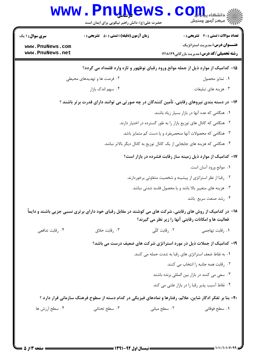| <b>سری سوال : ۱ یک</b>                                               | <b>زمان آزمون (دقیقه) : تستی : 50 ٪ تشریحی : 0</b>                                                         |                                                               | <b>تعداد سوالات : تستی : 30 ٪ تشریحی : 0</b>                |  |
|----------------------------------------------------------------------|------------------------------------------------------------------------------------------------------------|---------------------------------------------------------------|-------------------------------------------------------------|--|
| www.PnuNews.com                                                      |                                                                                                            |                                                               | <b>عنـــوان درس:</b> مدیریت استراتژیک                       |  |
| www.PnuNews.net                                                      |                                                                                                            |                                                               | <b>رشته تحصیلی/کد درس:</b> مدیریت بازرگانی1۲۱۸۱۲۹           |  |
|                                                                      | ۱۵– کدامیک از موارد ذیل از جمله موانع ورود رقبای نوظهور و تازه وارد قلمداد می گردد؟                        |                                                               |                                                             |  |
|                                                                      | ٠١ تمايز محصول<br>۰۲ فرصت ها و تهدیدهای محیطی                                                              |                                                               |                                                             |  |
| ۰۴ سهم اندک بازار                                                    |                                                                                                            |                                                               | ۰۳ هزینه های تبلیغات                                        |  |
|                                                                      | ۱۶– در دسته بندی نیروهای رقابتی، تأمین کنندگان در چه صورتی می توانند دارای قدرت برتر باشند ؟               |                                                               |                                                             |  |
|                                                                      |                                                                                                            | ۰۱ هنگامی که عده آنها در بازار بسیار زیاد باشند.              |                                                             |  |
| ۰۲ هنگامی که کانال های توزیع بازار را به طور گسترده در اختیار دارند. |                                                                                                            |                                                               |                                                             |  |
|                                                                      | ۰۳ هنگامی که محصولات آنها منحصربفرد و یا دست کم متمایز باشد.                                               |                                                               |                                                             |  |
|                                                                      | ۰۴ هنگامی که هزینه های جابجایی از یک کانال توزیع به کانال دیگر بالاتر نباشد.                               |                                                               |                                                             |  |
|                                                                      |                                                                                                            |                                                               | ۱۷– کدامیک از موارد ذیل زمینه ساز رقابت فشرده در بازار است؟ |  |
|                                                                      |                                                                                                            |                                                               | ۰۱ موانع ورود آسان است.                                     |  |
|                                                                      |                                                                                                            | ۰۲ رقبا از نظر استراتژی از پیشینه و شخصیت متفاوتی برخوردارند. |                                                             |  |
|                                                                      |                                                                                                            | ۰۳ هزینه های متغییر بالا باشد و یا محصول فاسد شدنی نباشد.     |                                                             |  |
|                                                                      |                                                                                                            |                                                               | ۰۴ رشد صنعت سربع باشد                                       |  |
|                                                                      | ۱۸- در کدامیک از روش های رقابتی، شرکت های می کوشند در مقابل رقبای خود دارای برتری نسبی جزیی باشند و دایماً | فعالیت ها و امکانات رقابتی آنها را زیر نظر می گیرند؟          |                                                             |  |
| ۰۴ رقابت تدافعي                                                      | ۰۳ رقابت خلاق                                                                                              | ۰۲ رقابت کلّی                                                 | ٠١. رقابت تهاجمي                                            |  |
|                                                                      | ۱۹- کدامیک از جملات ذیل در مورد استراتژی شرکت های ضعیف درست می باشد؟                                       |                                                               |                                                             |  |
|                                                                      |                                                                                                            | ۰۱ به نقاط ضعف استراتژی های رقبا به شدت حمله می کنند.         |                                                             |  |
|                                                                      |                                                                                                            |                                                               | ٠٢ رقابت همه جانبه را انتخاب مي كنند.                       |  |
|                                                                      |                                                                                                            | ۰۳ سعی می کنند در بازار بین المللی برنده باشند                |                                                             |  |
|                                                                      |                                                                                                            | ۰۴ نقاط آسیب پذیر رقبا را در بازار علنی می کند.               |                                                             |  |
|                                                                      | ۲۰- بنا بر تفکر ادگار شاین، علائم، رفتارها و نمادهای فیزیکی در کدام دسته از سطوح فرهنگ سازمانی قرار دارد ؟ |                                                               |                                                             |  |
|                                                                      |                                                                                                            |                                                               |                                                             |  |

 $= 1.1.11.1.1$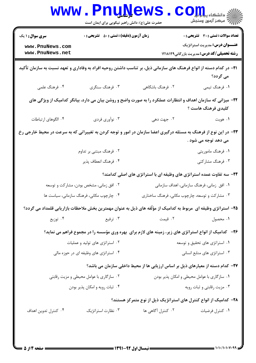|                                                                                                                            | <b>www.PnuNews</b><br>حضرت علی(ع): دانش راهبر نیکویی برای ایمان است |                                                                                                                 | COHL alsails<br>رج مرڪز آزمون وسنڊش                                                        |
|----------------------------------------------------------------------------------------------------------------------------|---------------------------------------------------------------------|-----------------------------------------------------------------------------------------------------------------|--------------------------------------------------------------------------------------------|
| <b>سری سوال : ۱ یک</b>                                                                                                     | <b>زمان آزمون (دقیقه) : تستی : 50 ٪ تشریحی : 0</b>                  |                                                                                                                 | تعداد سوالات : تستي : 30 - تشريحي : 0                                                      |
| www.PnuNews.com<br>www.PnuNews.net                                                                                         |                                                                     |                                                                                                                 | <b>عنـــوان درس:</b> مدیریت استراتژیک<br><b>رشته تحصیلی/کد درس:</b> مدیریت بازرگانی۱۲۱۸۱۲۹ |
| <b>۲۱</b> - در کدام دسته از انواع فرهنگ های سازمانی ذیل، بر تناسب داشتن روحیه افراد به وفاداری و تعهد نسبت به سازمان تأکید |                                                                     |                                                                                                                 | می گردد؟                                                                                   |
| ۰۴ فرهنگ علمی                                                                                                              | ۰۳ فرهنگ سنگری                                                      | ٢. فرهنگ باشگاهی                                                                                                | ۰۱ فرهنگ تیمی                                                                              |
|                                                                                                                            |                                                                     | ۲۲– میزانی که سازمان اهداف و انتظارات عملکرد را به صورت واضح و روشن بیان می دارد، بیانگر کدامیک از ویژگی های    | کلیدی فرهنگ هاست ؟                                                                         |
| ۰۴ الگوهای ارتباطات                                                                                                        | ۰۳ نوآوري فردي                                                      | ۰۲ جهت دهی                                                                                                      | ۰۱ هويت                                                                                    |
| ۲۳- در این نوع از فرهنگ به مسئله درگیری اعضا سازمان در امور و توجه کردن به تغییراتی که به سرعت در محیط خارجی رخ            |                                                                     |                                                                                                                 | می دهد توجه می شود .                                                                       |
|                                                                                                                            | ۲. فرهنگ مبتنی بر تداوم                                             |                                                                                                                 | ۰۱ فرهنگ ماموریتی                                                                          |
|                                                                                                                            | ۰۴ فرهنگ انعطاف پذیر                                                |                                                                                                                 | ۰۳ فرهنگ مشارکتی                                                                           |
|                                                                                                                            |                                                                     | ۲۴- سه تفاوت عمده استراتژی های وظیفه ای با استراتژی های اصلی کدامند؟                                            |                                                                                            |
| ۰۲ افق زمانی، مشخص بودن، مشارکت و توسعه                                                                                    |                                                                     | ۰۱ افق زمانی، فرهنگ سازمانی، اهداف سازمانی                                                                      |                                                                                            |
|                                                                                                                            | ۰۴ چارچوب مکانی، فرهنگ سازمانی، سیاست ها                            | ۰۳ مشارکت و توسعه، چارچوب مکانی، فرهنگ ساختاری                                                                  |                                                                                            |
|                                                                                                                            |                                                                     | ۲۵– استراتژی وظیفه ای  مربوط به کدامیک از مؤلّفه های ذیل به عنوان مهمترین بخش ملاحظات بازاریابی قلمداد می گردد؟ |                                                                                            |
| ۰۴ توزیع                                                                                                                   | ۰۳ ترفیع                                                            | ۲. قیمت                                                                                                         | ۰۱ محصول                                                                                   |
|                                                                                                                            |                                                                     | ۲۶-۔ کدامیک از انواع استراتژی های زیر، زمینه های لازم برای بهره وری مؤسسه را در مجموع فراهم می نماید؟           |                                                                                            |
|                                                                                                                            | ۰۲ استراتژی های تولید و عملیات<br>۰۱ استراتژی های تحقیق و توسعه     |                                                                                                                 |                                                                                            |
|                                                                                                                            | ۰۴ استراتژی های وظیفه ای در حوزه مالی                               | ۰۳ استراتژی های منابع انسانی                                                                                    |                                                                                            |
|                                                                                                                            |                                                                     | ۲۷- کدام دسته از معیارهای ذیل بر اساس ارزیابی ها از محیط داخلی سازمان می باشد؟                                  |                                                                                            |
| ۰۲ سازگاری با عوامل محیطی و مزیت رقابتی                                                                                    |                                                                     | ۰۱ سازگاری با عوامل محیطی و امکان پذیر بودن                                                                     |                                                                                            |
|                                                                                                                            | ۰۴ ثبات رويه و امكان پذير بودن                                      | ۰۳ مزیت رقابتی و ثبات رویه                                                                                      |                                                                                            |
|                                                                                                                            |                                                                     | ۲۸– کدامیک از انواع کنترل های استراتژیک ذیل از نوع متمرکز هستند؟                                                |                                                                                            |
| ۰۴ کنترل تدوین اهداف                                                                                                       | ۰۳ نظارت استراتژیک                                                  | ۰۲ کنترل آگاهی ها                                                                                               | ۰۱ کنترل فرضیات                                                                            |
|                                                                                                                            |                                                                     |                                                                                                                 |                                                                                            |

 $= 1.1.1.1.1.1.4$